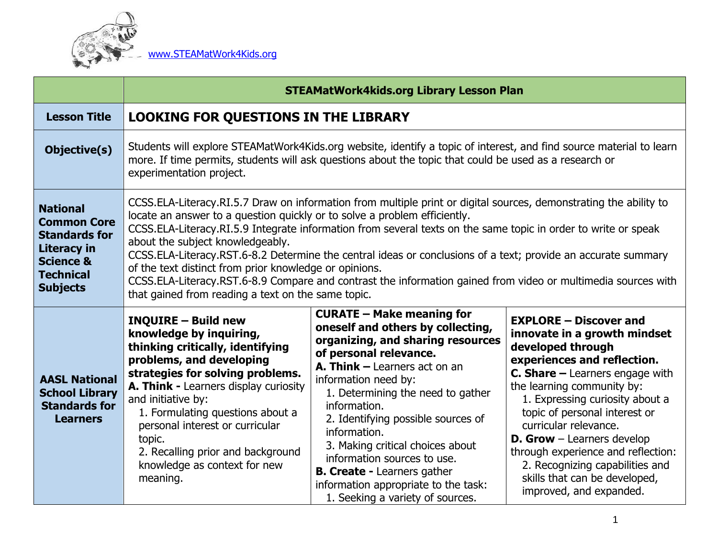

|                                                                                                                                                    | <b>STEAMatWork4kids.org Library Lesson Plan</b>                                                                                                                                                                                                                                                                                                                                                                                                                                                                                                                                                                                                                                                        |                                                                                                                                                                                                                                                                                                                                                                                                                                                                                               |                                                                                                                                                                                                                                                                                                                                                                                                                                                                    |  |
|----------------------------------------------------------------------------------------------------------------------------------------------------|--------------------------------------------------------------------------------------------------------------------------------------------------------------------------------------------------------------------------------------------------------------------------------------------------------------------------------------------------------------------------------------------------------------------------------------------------------------------------------------------------------------------------------------------------------------------------------------------------------------------------------------------------------------------------------------------------------|-----------------------------------------------------------------------------------------------------------------------------------------------------------------------------------------------------------------------------------------------------------------------------------------------------------------------------------------------------------------------------------------------------------------------------------------------------------------------------------------------|--------------------------------------------------------------------------------------------------------------------------------------------------------------------------------------------------------------------------------------------------------------------------------------------------------------------------------------------------------------------------------------------------------------------------------------------------------------------|--|
| <b>Lesson Title</b>                                                                                                                                | <b>LOOKING FOR QUESTIONS IN THE LIBRARY</b>                                                                                                                                                                                                                                                                                                                                                                                                                                                                                                                                                                                                                                                            |                                                                                                                                                                                                                                                                                                                                                                                                                                                                                               |                                                                                                                                                                                                                                                                                                                                                                                                                                                                    |  |
| Objective(s)                                                                                                                                       | Students will explore STEAMatWork4Kids.org website, identify a topic of interest, and find source material to learn<br>more. If time permits, students will ask questions about the topic that could be used as a research or<br>experimentation project.                                                                                                                                                                                                                                                                                                                                                                                                                                              |                                                                                                                                                                                                                                                                                                                                                                                                                                                                                               |                                                                                                                                                                                                                                                                                                                                                                                                                                                                    |  |
| <b>National</b><br><b>Common Core</b><br><b>Standards for</b><br><b>Literacy in</b><br><b>Science &amp;</b><br><b>Technical</b><br><b>Subjects</b> | CCSS.ELA-Literacy.RI.5.7 Draw on information from multiple print or digital sources, demonstrating the ability to<br>locate an answer to a question quickly or to solve a problem efficiently.<br>CCSS.ELA-Literacy.RI.5.9 Integrate information from several texts on the same topic in order to write or speak<br>about the subject knowledgeably.<br>CCSS.ELA-Literacy.RST.6-8.2 Determine the central ideas or conclusions of a text; provide an accurate summary<br>of the text distinct from prior knowledge or opinions.<br>CCSS.ELA-Literacy.RST.6-8.9 Compare and contrast the information gained from video or multimedia sources with<br>that gained from reading a text on the same topic. |                                                                                                                                                                                                                                                                                                                                                                                                                                                                                               |                                                                                                                                                                                                                                                                                                                                                                                                                                                                    |  |
| <b>AASL National</b><br><b>School Library</b><br><b>Standards for</b><br><b>Learners</b>                                                           | <b>INQUIRE - Build new</b><br>knowledge by inquiring,<br>thinking critically, identifying<br>problems, and developing<br>strategies for solving problems.<br>A. Think - Learners display curiosity<br>and initiative by:<br>1. Formulating questions about a<br>personal interest or curricular<br>topic.<br>2. Recalling prior and background<br>knowledge as context for new<br>meaning.                                                                                                                                                                                                                                                                                                             | <b>CURATE - Make meaning for</b><br>oneself and others by collecting,<br>organizing, and sharing resources<br>of personal relevance.<br>A. Think - Learners act on an<br>information need by:<br>1. Determining the need to gather<br>information.<br>2. Identifying possible sources of<br>information.<br>3. Making critical choices about<br>information sources to use.<br><b>B. Create - Learners gather</b><br>information appropriate to the task:<br>1. Seeking a variety of sources. | <b>EXPLORE - Discover and</b><br>innovate in a growth mindset<br>developed through<br>experiences and reflection.<br><b>C. Share - Learners engage with</b><br>the learning community by:<br>1. Expressing curiosity about a<br>topic of personal interest or<br>curricular relevance.<br><b>D. Grow</b> $-$ Learners develop<br>through experience and reflection:<br>2. Recognizing capabilities and<br>skills that can be developed,<br>improved, and expanded. |  |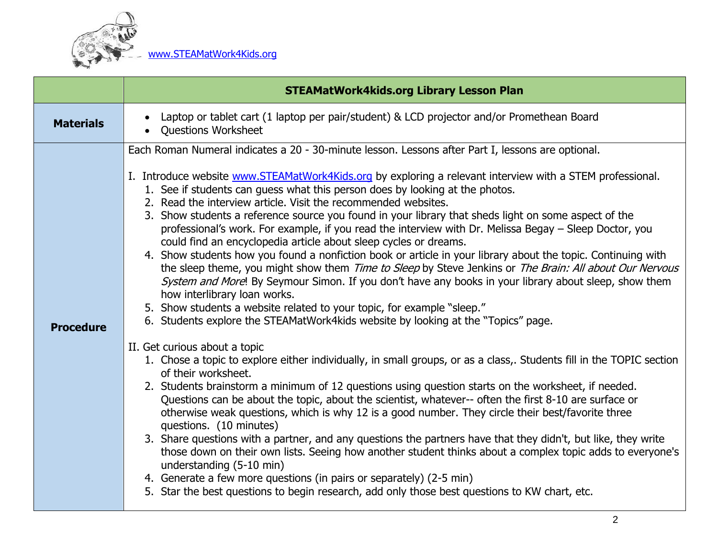

|                  | <b>STEAMatWork4kids.org Library Lesson Plan</b>                                                                                                                                                                                                                                                                                                                                                                                                                                                                                                                                                                                                                                                                                                                                                                                                                                                                                                                                                                                                                                                                                                                                                                                                                                                                                                                                                                                                                                                                                                                                                                                                                                                                                                                                                                                                                                                                                                                                                                                                                                                                                                             |  |  |
|------------------|-------------------------------------------------------------------------------------------------------------------------------------------------------------------------------------------------------------------------------------------------------------------------------------------------------------------------------------------------------------------------------------------------------------------------------------------------------------------------------------------------------------------------------------------------------------------------------------------------------------------------------------------------------------------------------------------------------------------------------------------------------------------------------------------------------------------------------------------------------------------------------------------------------------------------------------------------------------------------------------------------------------------------------------------------------------------------------------------------------------------------------------------------------------------------------------------------------------------------------------------------------------------------------------------------------------------------------------------------------------------------------------------------------------------------------------------------------------------------------------------------------------------------------------------------------------------------------------------------------------------------------------------------------------------------------------------------------------------------------------------------------------------------------------------------------------------------------------------------------------------------------------------------------------------------------------------------------------------------------------------------------------------------------------------------------------------------------------------------------------------------------------------------------------|--|--|
| <b>Materials</b> | Laptop or tablet cart (1 laptop per pair/student) & LCD projector and/or Promethean Board<br><b>Questions Worksheet</b>                                                                                                                                                                                                                                                                                                                                                                                                                                                                                                                                                                                                                                                                                                                                                                                                                                                                                                                                                                                                                                                                                                                                                                                                                                                                                                                                                                                                                                                                                                                                                                                                                                                                                                                                                                                                                                                                                                                                                                                                                                     |  |  |
| <b>Procedure</b> | Each Roman Numeral indicates a 20 - 30-minute lesson. Lessons after Part I, lessons are optional.<br>I. Introduce website www.STEAMatWork4Kids.org by exploring a relevant interview with a STEM professional.<br>1. See if students can guess what this person does by looking at the photos.<br>2. Read the interview article. Visit the recommended websites.<br>3. Show students a reference source you found in your library that sheds light on some aspect of the<br>professional's work. For example, if you read the interview with Dr. Melissa Begay - Sleep Doctor, you<br>could find an encyclopedia article about sleep cycles or dreams.<br>4. Show students how you found a nonfiction book or article in your library about the topic. Continuing with<br>the sleep theme, you might show them Time to Sleep by Steve Jenkins or The Brain: All about Our Nervous<br>System and More! By Seymour Simon. If you don't have any books in your library about sleep, show them<br>how interlibrary loan works.<br>5. Show students a website related to your topic, for example "sleep."<br>6. Students explore the STEAMatWork4kids website by looking at the "Topics" page.<br>II. Get curious about a topic<br>1. Chose a topic to explore either individually, in small groups, or as a class,. Students fill in the TOPIC section<br>of their worksheet.<br>2. Students brainstorm a minimum of 12 questions using question starts on the worksheet, if needed.<br>Questions can be about the topic, about the scientist, whatever-- often the first 8-10 are surface or<br>otherwise weak questions, which is why 12 is a good number. They circle their best/favorite three<br>questions. (10 minutes)<br>3. Share questions with a partner, and any questions the partners have that they didn't, but like, they write<br>those down on their own lists. Seeing how another student thinks about a complex topic adds to everyone's<br>understanding (5-10 min)<br>4. Generate a few more questions (in pairs or separately) (2-5 min)<br>5. Star the best questions to begin research, add only those best questions to KW chart, etc. |  |  |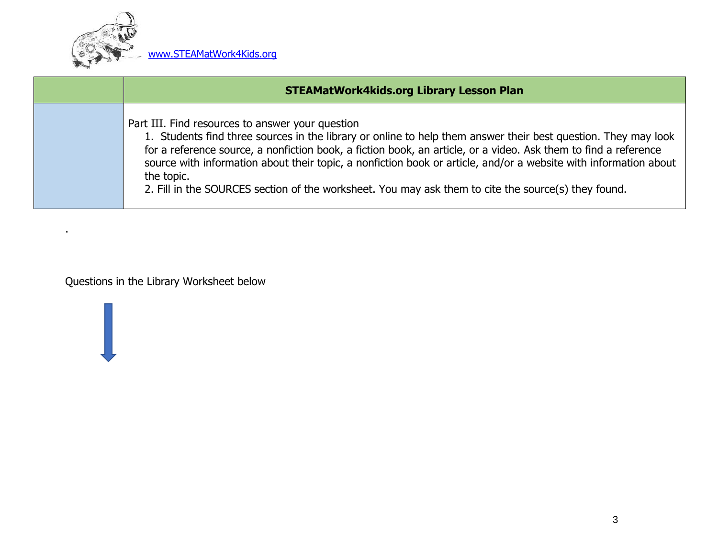

.

| <b>STEAMatWork4kids.org Library Lesson Plan</b>                                                                                                                                                                                                                                                                                                                                                                                                                                                                                |
|--------------------------------------------------------------------------------------------------------------------------------------------------------------------------------------------------------------------------------------------------------------------------------------------------------------------------------------------------------------------------------------------------------------------------------------------------------------------------------------------------------------------------------|
| Part III. Find resources to answer your question<br>1. Students find three sources in the library or online to help them answer their best question. They may look<br>for a reference source, a nonfiction book, a fiction book, an article, or a video. Ask them to find a reference<br>source with information about their topic, a nonfiction book or article, and/or a website with information about<br>the topic.<br>2. Fill in the SOURCES section of the worksheet. You may ask them to cite the source(s) they found. |

Questions in the Library Worksheet below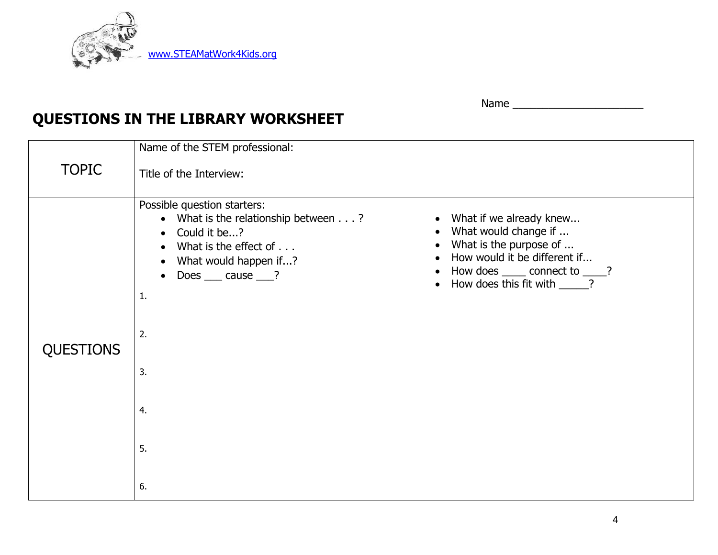

## **QUESTIONS IN THE LIBRARY WORKSHEET**

|                  | Name of the STEM professional:                                                                                                                                                                                                           |                                                                                                                                                                                                                                                                    |
|------------------|------------------------------------------------------------------------------------------------------------------------------------------------------------------------------------------------------------------------------------------|--------------------------------------------------------------------------------------------------------------------------------------------------------------------------------------------------------------------------------------------------------------------|
| <b>TOPIC</b>     | Title of the Interview:                                                                                                                                                                                                                  |                                                                                                                                                                                                                                                                    |
| <b>QUESTIONS</b> | Possible question starters:<br>• What is the relationship between ?<br>• Could it be?<br>$\bullet$ What is the effect of $\dots$<br>• What would happen if?<br>$\bullet$ Does $\_\_\_$ cause $\_\$ ?<br>1.<br>2.<br>3.<br>4.<br>5.<br>6. | What if we already knew<br>$\bullet$<br>What would change if<br>$\bullet$<br>What is the purpose of<br>$\bullet$<br>How would it be different if<br>$\bullet$<br>How does <u>_____</u> connect to ____?<br>$\bullet$<br>How does this fit with _____?<br>$\bullet$ |